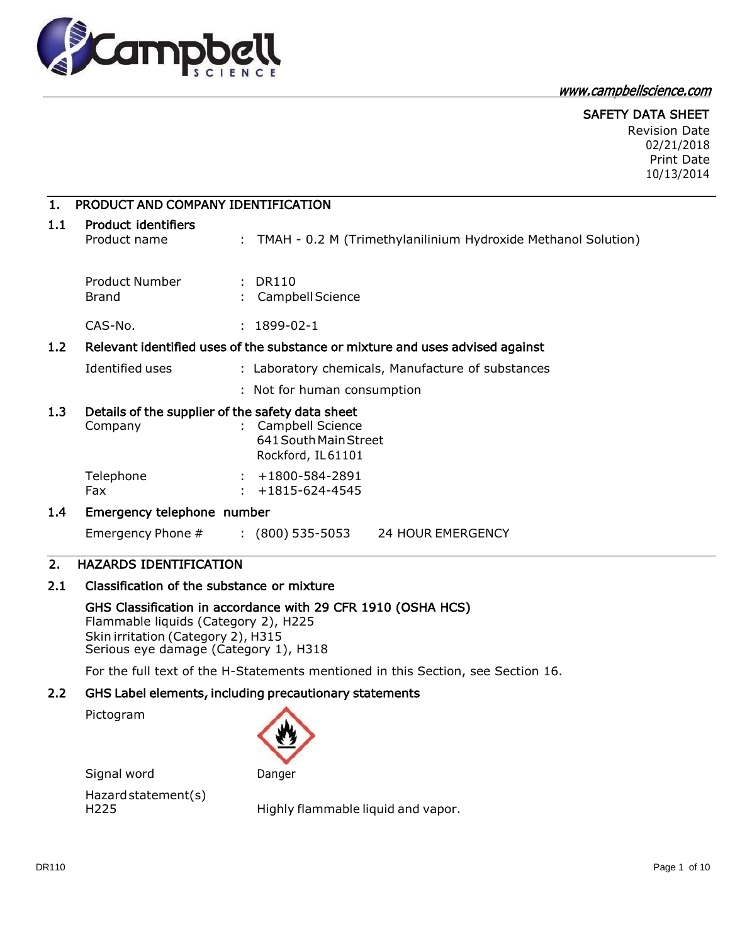

www.campbellscience.com

#### SAFETY DATA SHEET

Revision Date 02/21/2018 Print Date 10/13/2014

#### 1. PRODUCT AND COMPANY IDENTIFICATION

### 1.1 Product identifiers

Product name : TMAH - 0.2 M (Trimethylanilinium Hydroxide Methanol Solution)

| Product Number | : DR110            |
|----------------|--------------------|
| <b>Brand</b>   | : Campbell Science |
|                |                    |

CAS-No. : 1899-02-1

#### 1.2 Relevant identified uses of the substance or mixture and uses advised against

Identified uses : Laboratory chemicals, Manufacture of substances

: Not for human consumption

#### 1.3 Details of the supplier of the safety data sheet

| Company   | : Campbell Science     |
|-----------|------------------------|
|           | 641 South Main Street  |
|           | Rockford, IL61101      |
| Telephone | $: +1800 - 584 - 2891$ |
| Fax       | $: +1815 - 624 - 4545$ |

#### 1.4 Emergency telephone number

Emergency Phone # : (800) 535-5053 24 HOUR EMERGENCY

### 2. HAZARDS IDENTIFICATION

#### 2.1 Classification of the substance or mixture

GHS Classification in accordance with 29 CFR 1910 (OSHA HCS) Flammable liquids (Category 2), H225 Skin irritation (Category 2), H315 Serious eye damage (Category 1), H318

For the full text of the H-Statements mentioned in this Section, see Section 16.

# 2.2 GHS Label elements, including precautionary statements

Pictogram



Signal word Danger Hazardstatement(s)

H225 Highly flammable liquid and vapor.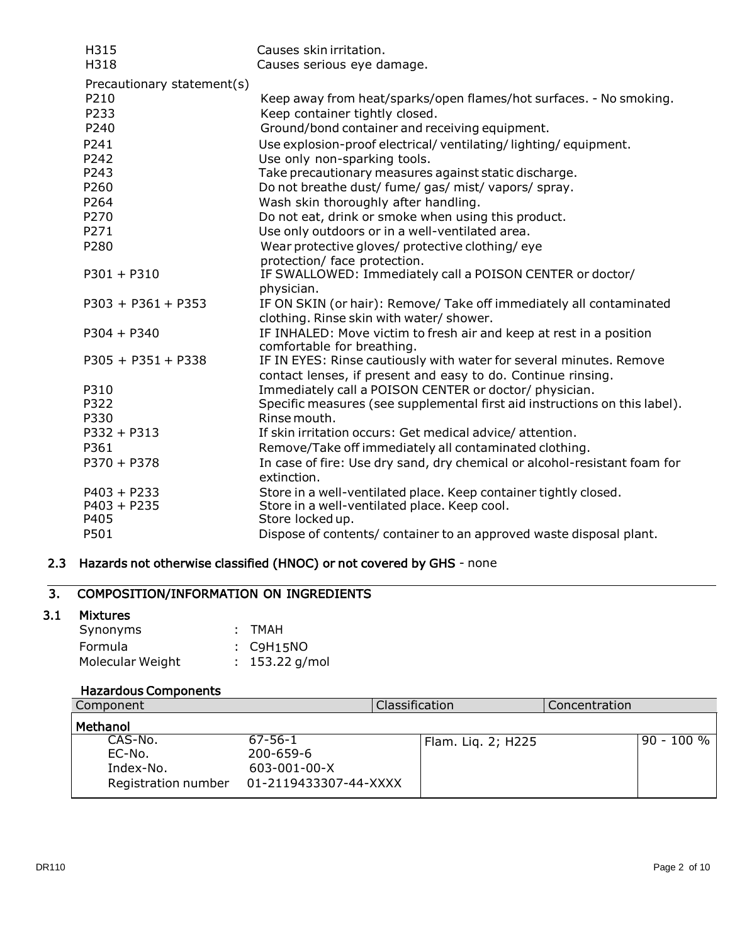| H315                       | Causes skin irritation.                                                                           |
|----------------------------|---------------------------------------------------------------------------------------------------|
| H318                       | Causes serious eye damage.                                                                        |
| Precautionary statement(s) |                                                                                                   |
| P210                       | Keep away from heat/sparks/open flames/hot surfaces. - No smoking.                                |
| P233                       | Keep container tightly closed.                                                                    |
| P240                       | Ground/bond container and receiving equipment.                                                    |
| P241                       | Use explosion-proof electrical/ventilating/lighting/equipment.                                    |
| P242                       | Use only non-sparking tools.                                                                      |
| P243                       | Take precautionary measures against static discharge.                                             |
| P260                       | Do not breathe dust/ fume/ gas/ mist/ vapors/ spray.                                              |
| P264                       | Wash skin thoroughly after handling.                                                              |
| P270                       | Do not eat, drink or smoke when using this product.                                               |
| P271                       | Use only outdoors or in a well-ventilated area.                                                   |
| P280                       | Wear protective gloves/ protective clothing/eye                                                   |
|                            | protection/ face protection.                                                                      |
| $P301 + P310$              | IF SWALLOWED: Immediately call a POISON CENTER or doctor/                                         |
|                            | physician.                                                                                        |
| $P303 + P361 + P353$       | IF ON SKIN (or hair): Remove/ Take off immediately all contaminated                               |
|                            | clothing. Rinse skin with water/ shower.                                                          |
| $P304 + P340$              | IF INHALED: Move victim to fresh air and keep at rest in a position<br>comfortable for breathing. |
| $P305 + P351 + P338$       | IF IN EYES: Rinse cautiously with water for several minutes. Remove                               |
|                            | contact lenses, if present and easy to do. Continue rinsing.                                      |
| P310                       | Immediately call a POISON CENTER or doctor/ physician.                                            |
| P322                       | Specific measures (see supplemental first aid instructions on this label).                        |
| P330                       | Rinse mouth.                                                                                      |
| $P332 + P313$              | If skin irritation occurs: Get medical advice/attention.                                          |
| P361                       | Remove/Take off immediately all contaminated clothing.                                            |
| $P370 + P378$              | In case of fire: Use dry sand, dry chemical or alcohol-resistant foam for<br>extinction.          |
| $P403 + P233$              | Store in a well-ventilated place. Keep container tightly closed.                                  |
| $P403 + P235$              | Store in a well-ventilated place. Keep cool.                                                      |
| P405                       | Store locked up.                                                                                  |
| P501                       | Dispose of contents/ container to an approved waste disposal plant.                               |

# 2.3 Hazards not otherwise classified (HNOC) or not covered by GHS - none

# 3. COMPOSITION/INFORMATION ON INGREDIENTS

# 3.1 Mixtures

| Synonyms         | : TMAH           |
|------------------|------------------|
| Formula          | : C9H15NO        |
| Molecular Weight | $: 153.22$ g/mol |

# Hazardous Components

| Component                                             |                                                                           | Classification     | Concentration |              |
|-------------------------------------------------------|---------------------------------------------------------------------------|--------------------|---------------|--------------|
| Methanol                                              |                                                                           |                    |               |              |
| CAS-No.<br>EC-No.<br>Index-No.<br>Registration number | $67 - 56 - 1$<br>$200 - 659 - 6$<br>603-001-00-X<br>01-2119433307-44-XXXX | Flam. Liq. 2; H225 |               | l 90 - 100 % |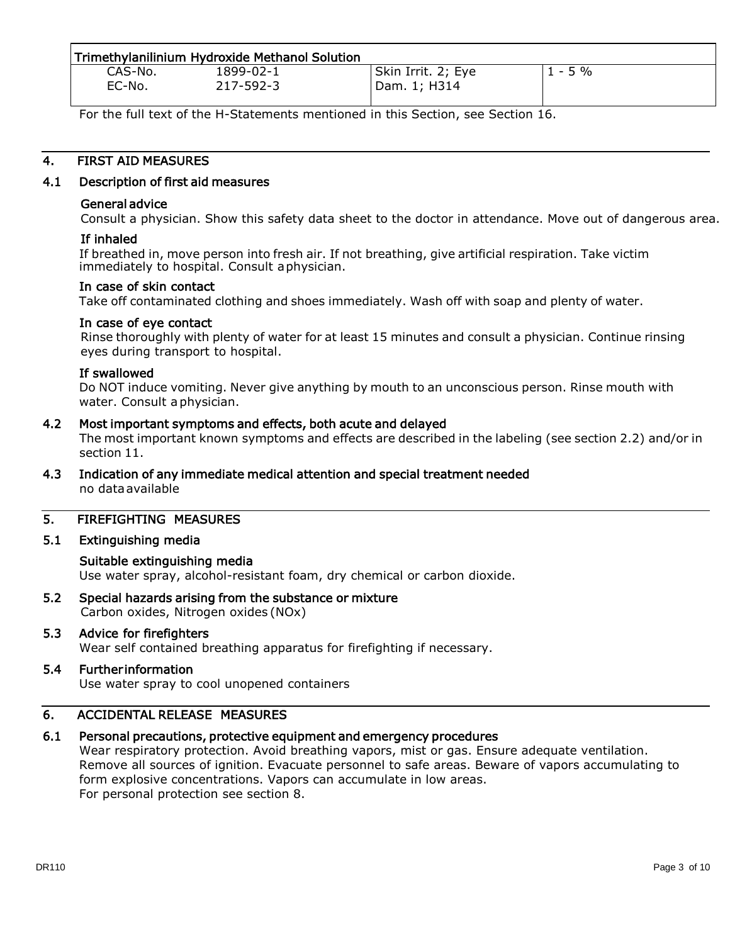|         | Trimethylanilinium Hydroxide Methanol Solution |                    |           |
|---------|------------------------------------------------|--------------------|-----------|
| CAS-No. | 1899-02-1                                      | Skin Irrit. 2; Eye | $1 - 5\%$ |
| EC-No.  | 217-592-3                                      | Dam. 1; H314       |           |

For the full text of the H-Statements mentioned in this Section, see Section 16.

### 4. FIRST AID MEASURES

#### 4.1 Description of first aid measures

#### General advice

Consult a physician. Show this safety data sheet to the doctor in attendance. Move out of dangerous area.

#### If inhaled

If breathed in, move person into fresh air. If not breathing, give artificial respiration. Take victim immediately to hospital. Consult aphysician.

#### In case of skin contact

Take off contaminated clothing and shoes immediately. Wash off with soap and plenty of water.

#### In case of eye contact

Rinse thoroughly with plenty of water for at least 15 minutes and consult a physician. Continue rinsing eyes during transport to hospital.

#### If swallowed

Do NOT induce vomiting. Never give anything by mouth to an unconscious person. Rinse mouth with water. Consult a physician.

#### 4.2 Most important symptoms and effects, both acute and delayed

The most important known symptoms and effects are described in the labeling (see section 2.2) and/or in section 11.

4.3 Indication of any immediate medical attention and special treatment needed no dataavailable

#### 5. FIREFIGHTING MEASURES

#### 5.1 Extinguishing media

#### Suitable extinguishing media

Use water spray, alcohol-resistant foam, dry chemical or carbon dioxide.

5.2 Special hazards arising from the substance or mixture Carbon oxides, Nitrogen oxides (NOx)

### 5.3 Advice for firefighters

Wear self contained breathing apparatus for firefighting if necessary.

# 5.4 Further information

Use water spray to cool unopened containers

#### 6. ACCIDENTAL RELEASE MEASURES

#### 6.1 Personal precautions, protective equipment and emergency procedures

Wear respiratory protection. Avoid breathing vapors, mist or gas. Ensure adequate ventilation. Remove all sources of ignition. Evacuate personnel to safe areas. Beware of vapors accumulating to form explosive concentrations. Vapors can accumulate in low areas. For personal protection see section 8.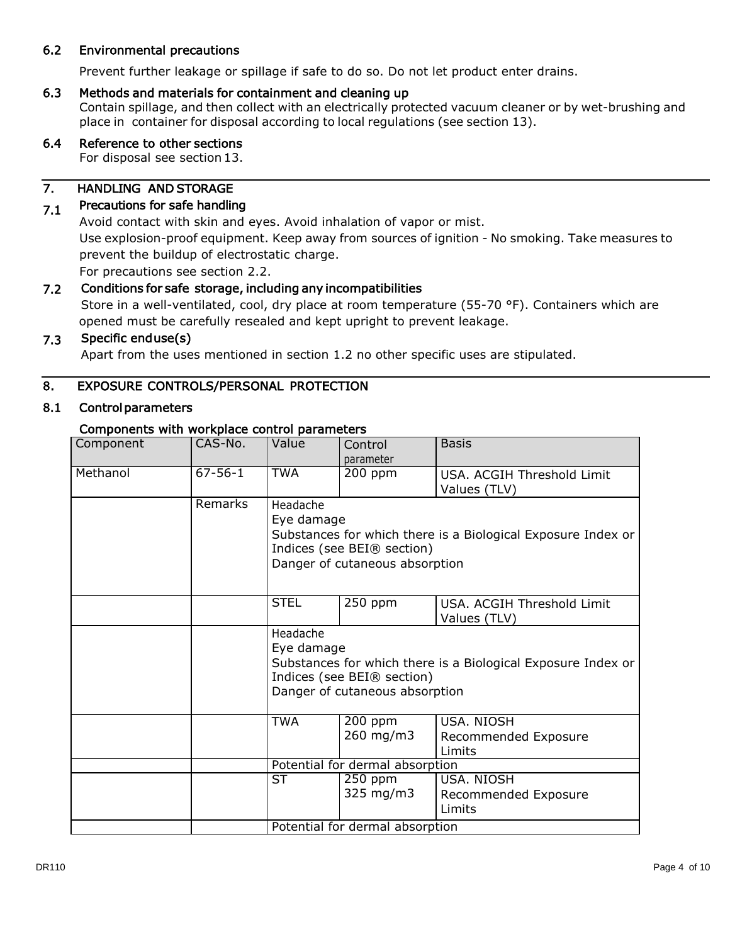### 6.2 Environmental precautions

Prevent further leakage or spillage if safe to do so. Do not let product enter drains.

#### 6.3 Methods and materials for containment and cleaning up

Contain spillage, and then collect with an electrically protected vacuum cleaner or by wet-brushing and place in container for disposal according to local regulations (see section 13).

### 6.4 Reference to other sections

For disposal see section 13.

#### 7. HANDLING ANDSTORAGE

#### 7.1 Precautions for safe handling

Avoid contact with skin and eyes. Avoid inhalation of vapor or mist. Use explosion-proof equipment. Keep away from sources of ignition - No smoking. Take measures to prevent the buildup of electrostatic charge.

For precautions see section 2.2.

#### 7.2 Conditions for safe storage, including any incompatibilities

Store in a well-ventilated, cool, dry place at room temperature (55-70 °F). Containers which are opened must be carefully resealed and kept upright to prevent leakage.

#### 7.3 Specific end use(s)

Apart from the uses mentioned in section 1.2 no other specific uses are stipulated.

#### 8. EXPOSURE CONTROLS/PERSONAL PROTECTION

#### 8.1 Control parameters

#### Components with workplace control parameters

| Component | CAS-No.       | Value                           | Control<br>parameter                                         | <b>Basis</b>                                                 |
|-----------|---------------|---------------------------------|--------------------------------------------------------------|--------------------------------------------------------------|
| Methanol  | $67 - 56 - 1$ | <b>TWA</b>                      | $200$ ppm                                                    | USA. ACGIH Threshold Limit<br>Values (TLV)                   |
|           | Remarks       | Headache<br>Eye damage          | Indices (see BEI® section)<br>Danger of cutaneous absorption | Substances for which there is a Biological Exposure Index or |
|           |               | <b>STEL</b>                     | 250 ppm                                                      | USA. ACGIH Threshold Limit<br>Values (TLV)                   |
|           |               | Headache<br>Eye damage          | Indices (see BEI® section)<br>Danger of cutaneous absorption | Substances for which there is a Biological Exposure Index or |
|           |               | <b>TWA</b>                      | $200$ ppm<br>260 mg/m3                                       | USA. NIOSH<br>Recommended Exposure<br>Limits                 |
|           |               | Potential for dermal absorption |                                                              |                                                              |
|           |               | ST                              | $250$ ppm<br>325 mg/m3                                       | USA. NIOSH<br>Recommended Exposure<br>Limits                 |
|           |               | Potential for dermal absorption |                                                              |                                                              |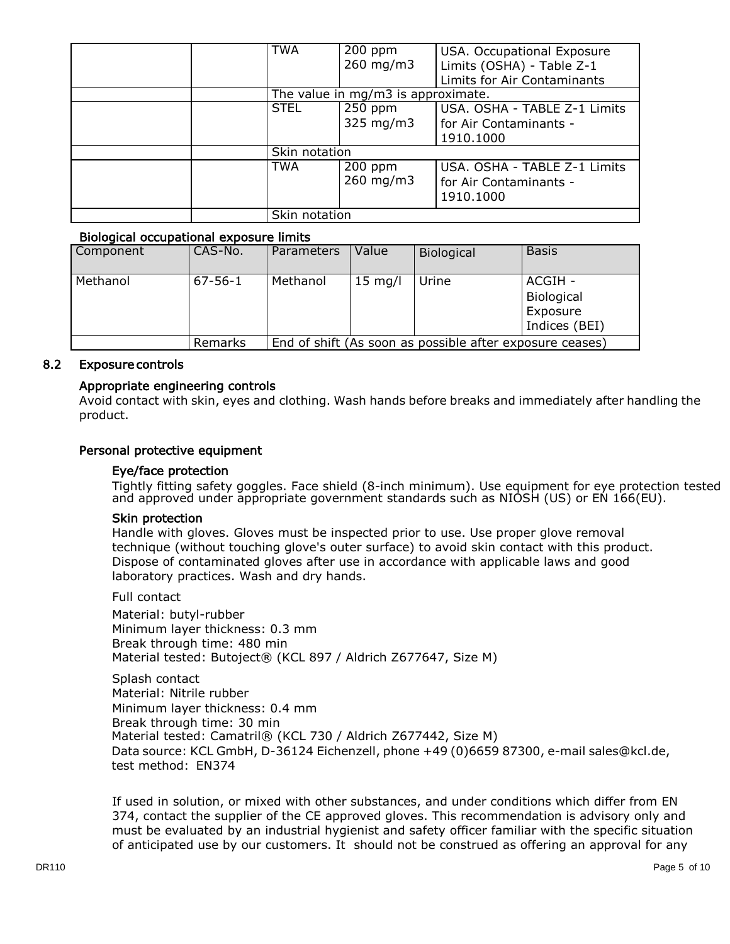| <b>TWA</b>    | $200$ ppm                          | USA. Occupational Exposure   |
|---------------|------------------------------------|------------------------------|
|               | 260 mg/m3                          | Limits (OSHA) - Table Z-1    |
|               |                                    | Limits for Air Contaminants  |
|               | The value in mg/m3 is approximate. |                              |
| <b>STEL</b>   | $250$ ppm                          | USA. OSHA - TABLE Z-1 Limits |
|               | $325 \text{ mg/m}$                 | for Air Contaminants -       |
|               |                                    | 1910.1000                    |
| Skin notation |                                    |                              |
| <b>TWA</b>    | $200$ ppm                          | USA. OSHA - TABLE Z-1 Limits |
|               | 260 mg/m3                          | for Air Contaminants -       |
|               |                                    | 1910.1000                    |
| Skin notation |                                    |                              |

#### Biological occupational exposure limits

| Component | CAS-No.       | <b>Parameters</b> | Value             | Biological                                               | <b>Basis</b>                                       |
|-----------|---------------|-------------------|-------------------|----------------------------------------------------------|----------------------------------------------------|
| Methanol  | $67 - 56 - 1$ | Methanol          | $15 \text{ mg/l}$ | Urine                                                    | ACGIH -<br>Biological<br>Exposure<br>Indices (BEI) |
|           | Remarks       |                   |                   | End of shift (As soon as possible after exposure ceases) |                                                    |

#### 8.2 Exposure controls

#### Appropriate engineering controls

Avoid contact with skin, eyes and clothing. Wash hands before breaks and immediately after handling the product.

#### Personal protective equipment

#### Eye/face protection

Tightly fitting safety goggles. Face shield (8-inch minimum). Use equipment for eye protection tested and approved under appropriate government standards such as NIOSH (US) or EN 166(EU).

#### Skin protection

Handle with gloves. Gloves must be inspected prior to use. Use proper glove removal technique (without touching glove's outer surface) to avoid skin contact with this product. Dispose of contaminated gloves after use in accordance with applicable laws and good laboratory practices. Wash and dry hands.

Full contact

Material: butyl-rubber Minimum layer thickness: 0.3 mm Break through time: 480 min Material tested: Butoject® (KCL 897 / Aldrich Z677647, Size M)

Splash contact Material: Nitrile rubber Minimum layer thickness: 0.4 mm Break through time: 30 min Material tested: Camatril® (KCL 730 / Aldrich Z677442, Size M) Data source: KCL GmbH, D-36124 Eichenzell, phone +49 (0)6659 87300, e-mail sales@kcl.de, test method: EN374

If used in solution, or mixed with other substances, and under conditions which differ from EN 374, contact the supplier of the CE approved gloves. This recommendation is advisory only and must be evaluated by an industrial hygienist and safety officer familiar with the specific situation of anticipated use by our customers. It should not be construed as offering an approval for any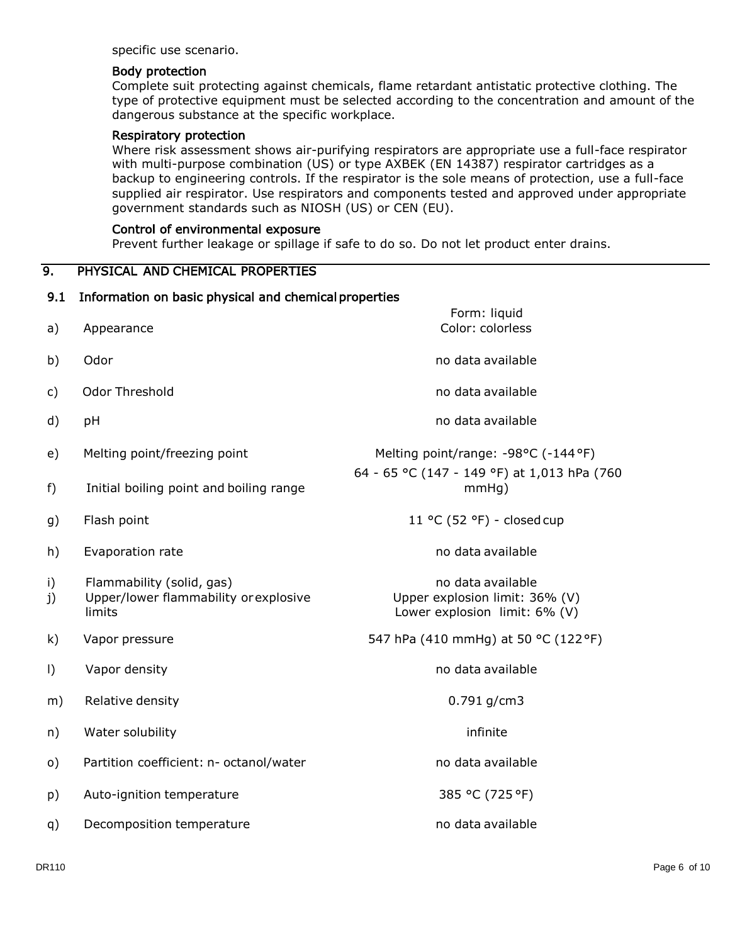specific use scenario.

#### Body protection

Complete suit protecting against chemicals, flame retardant antistatic protective clothing. The type of protective equipment must be selected according to the concentration and amount of the dangerous substance at the specific workplace.

#### Respiratory protection

Where risk assessment shows air-purifying respirators are appropriate use a full-face respirator with multi-purpose combination (US) or type AXBEK (EN 14387) respirator cartridges as a backup to engineering controls. If the respirator is the sole means of protection, use a full-face supplied air respirator. Use respirators and components tested and approved under appropriate government standards such as NIOSH (US) or CEN (EU).

#### Control of environmental exposure

Prevent further leakage or spillage if safe to do so. Do not let product enter drains.

#### 9. PHYSICAL AND CHEMICAL PROPERTIES

# 9.1 Information on basic physical and chemical properties Form: liquid a) Appearance Color: colorless b) Odor **no data available** c) Odor Threshold **channels** are the control of the control of the control of the control of the control of the control of the control of the control of the control of the control of the control of the control of the contr d) pH **no data available** e) Melting point/freezing point Melting point/range: -98°C (-144°F) 64 - 65 °C (147 - 149 °F) at 1,013 hPa (760 f) Initial boiling point and boiling range mmHg) g) Flash point 11 °C (52 °F) - closed cup h) Evaporation rate no data available no data available i) Flammability (solid, gas) and the state of the state of the Flammability (solid, gas) j) Upper/lower flammability orexplosive limits Upper explosion limit: 36% (V) Lower explosion limit: 6% (V) k) Vapor pressure  $547$  hPa (410 mmHg) at 50 °C (122 °F) l) Vapor density no data available no variable no variable no variable no variable no variable no variable no v m) Relative density **but a strategie of the COV** control of the COV control of the COV control of the COV control of the COV control of the COV control of the COV control of the COV control of the COV control of the COV co n) Water solubility infinite o) Partition coefficient: n- octanol/water example and the data available p) Auto-ignition temperature 385 °C (725 °F) q) Decomposition temperature no data available no data available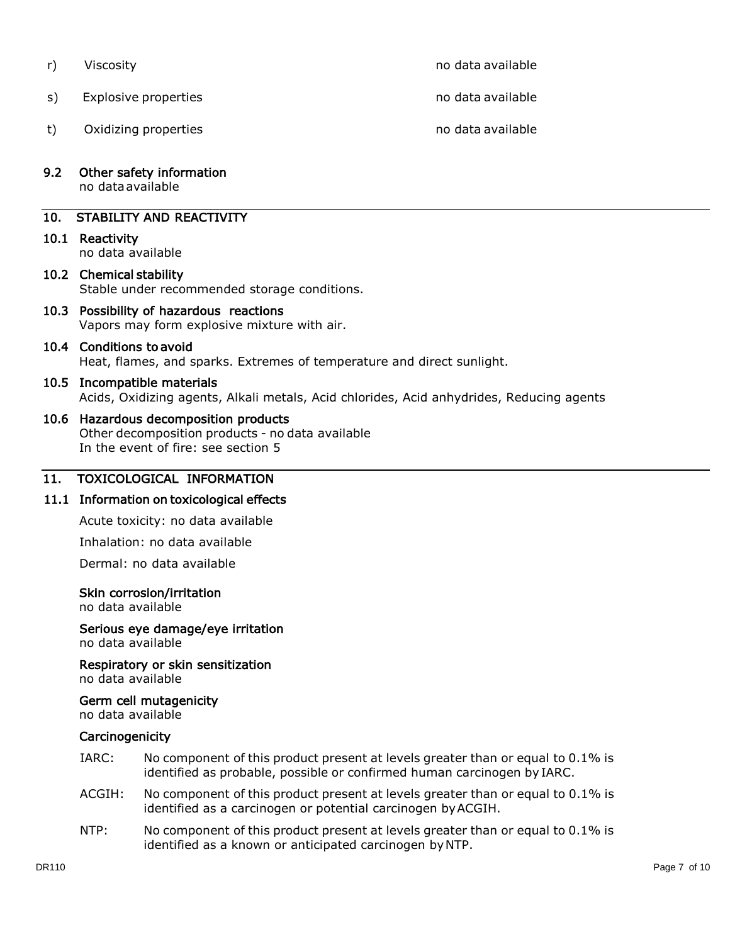t) Oxidizing properties no data available no data available

r) Viscosity **no data available** no data available

s) Explosive properties no data available no data available

#### 9.2 Other safety information

no dataavailable

### 10. STABILITY AND REACTIVITY

#### 10.1 Reactivity

no data available

#### 10.2 Chemical stability Stable under recommended storage conditions.

10.3 Possibility of hazardous reactions Vapors may form explosive mixture with air.

# 10.4 Conditions to avoid

Heat, flames, and sparks. Extremes of temperature and direct sunlight.

#### 10.5 Incompatible materials

Acids, Oxidizing agents, Alkali metals, Acid chlorides, Acid anhydrides, Reducing agents

#### 10.6 Hazardous decomposition products

Other decomposition products - no data available In the event of fire: see section 5

#### 11. TOXICOLOGICAL INFORMATION

#### 11.1 Information on toxicological effects

Acute toxicity: no data available

Inhalation: no data available

Dermal: no data available

#### Skin corrosion/irritation

no data available

#### Serious eye damage/eye irritation no data available

Respiratory or skin sensitization

no data available

# Germ cell mutagenicity

no data available

### **Carcinogenicity**

- IARC: No component of this product present at levels greater than or equal to 0.1% is identified as probable, possible or confirmed human carcinogen by IARC.
- ACGIH: No component of this product present at levels greater than or equal to 0.1% is identified as a carcinogen or potential carcinogen byACGIH.
- NTP: No component of this product present at levels greater than or equal to 0.1% is identified as a known or anticipated carcinogen byNTP.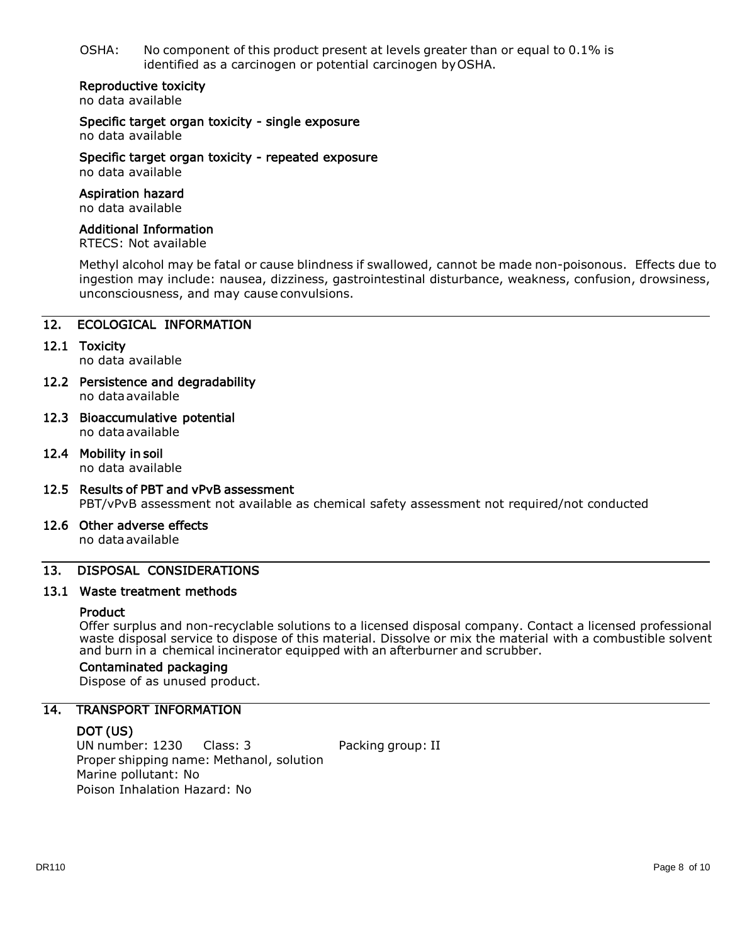OSHA: No component of this product present at levels greater than or equal to 0.1% is identified as a carcinogen or potential carcinogen byOSHA.

#### Reproductive toxicity

no data available

Specific target organ toxicity - single exposure no data available

Specific target organ toxicity - repeated exposure no data available

#### Aspiration hazard

no data available

#### Additional Information

RTECS: Not available

Methyl alcohol may be fatal or cause blindness if swallowed, cannot be made non-poisonous. Effects due to ingestion may include: nausea, dizziness, gastrointestinal disturbance, weakness, confusion, drowsiness, unconsciousness, and may cause convulsions.

#### 12. ECOLOGICAL INFORMATION

12.1 Toxicity

no data available

- 12.2 Persistence and degradability no dataavailable
- 12.3 Bioaccumulative potential no dataavailable
- 12.4 Mobility in soil

no data available

12.5 Results of PBT and vPvB assessment PBT/vPvB assessment not available as chemical safety assessment not required/not conducted

#### 12.6 Other adverse effects

no dataavailable

#### 13. DISPOSAL CONSIDERATIONS

#### 13.1 Waste treatment methods

#### **Product**

Offer surplus and non-recyclable solutions to a licensed disposal company. Contact a licensed professional waste disposal service to dispose of this material. Dissolve or mix the material with a combustible solvent and burn in a chemical incinerator equipped with an afterburner and scrubber.

#### Contaminated packaging

Dispose of as unused product.

#### 14. TRANSPORT INFORMATION

#### DOT (US)

UN number: 1230 Class: 3 Packing group: II Proper shipping name: Methanol, solution Marine pollutant: No Poison Inhalation Hazard: No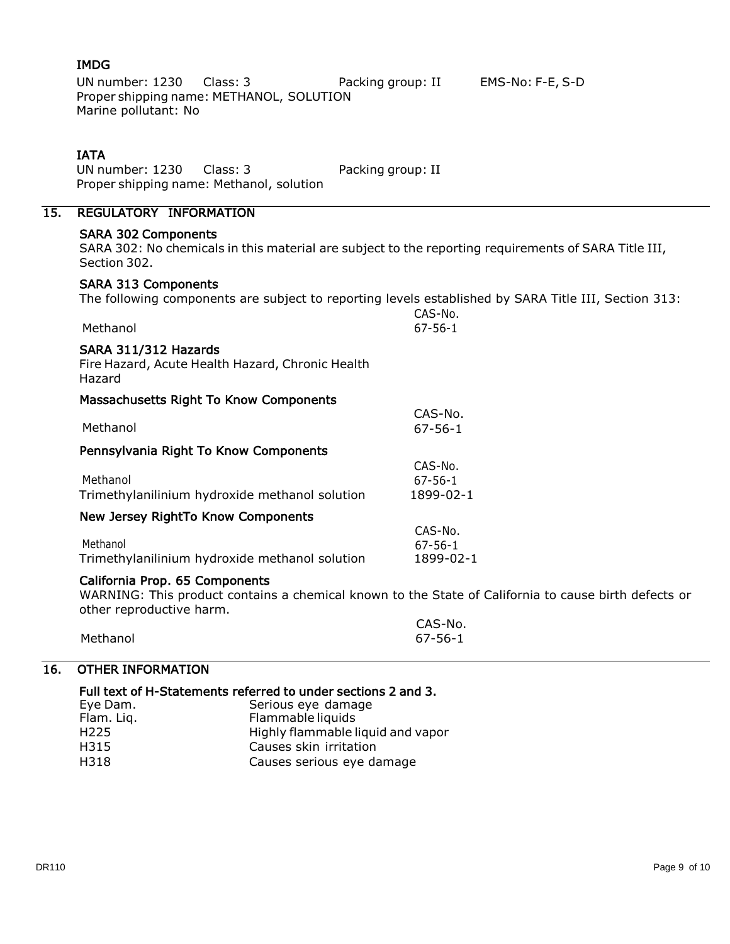### IMDG

UN number: 1230 Class: 3 Packing group: II EMS-No: F-E, S-D Proper shipping name: METHANOL, SOLUTION Marine pollutant: No

#### IATA

UN number: 1230 Class: 3 Packing group: II Proper shipping name: Methanol, solution

# 15. REGULATORY INFORMATION

#### SARA 302 Components

SARA 302: No chemicals in this material are subject to the reporting requirements of SARA Title III, Section 302.

#### SARA 313 Components

The following components are subject to reporting levels established by SARA Title III, Section 313:

|                                                                                    | CAS-No.       |
|------------------------------------------------------------------------------------|---------------|
| Methanol                                                                           | $67 - 56 - 1$ |
| SARA 311/312 Hazards<br>Fire Hazard, Acute Health Hazard, Chronic Health<br>Hazard |               |
| Massachusetts Right To Know Components                                             |               |
|                                                                                    | CAS-No.       |
| Methanol                                                                           | $67 - 56 - 1$ |
| Pennsylvania Right To Know Components                                              |               |
|                                                                                    | CAS-No.       |
| Methanol                                                                           | $67 - 56 - 1$ |
| Trimethylanilinium hydroxide methanol solution                                     | 1899-02-1     |
| New Jersey RightTo Know Components                                                 |               |
|                                                                                    | CAS-No.       |
| Methanol                                                                           | $67 - 56 - 1$ |
| Trimethylanilinium hydroxide methanol solution                                     | 1899-02-1     |

### California Prop. 65 Components

WARNING: This product contains a chemical known to the State of California to cause birth defects or other reproductive harm.

| <b>PLICE ICPIOGACCIVE HATTLE</b> |         |
|----------------------------------|---------|
|                                  | CAS-No. |
| Methanol                         | 67-56-1 |

### 16. OTHER INFORMATION

#### Full text of H-Statements referred to under sections 2 and 3.

| Eye Dam.         | Serious eye damage                |
|------------------|-----------------------------------|
| Flam. Liq.       | Flammable liquids                 |
| H <sub>225</sub> | Highly flammable liquid and vapor |
| H315             | Causes skin irritation            |
| H318             | Causes serious eye damage         |